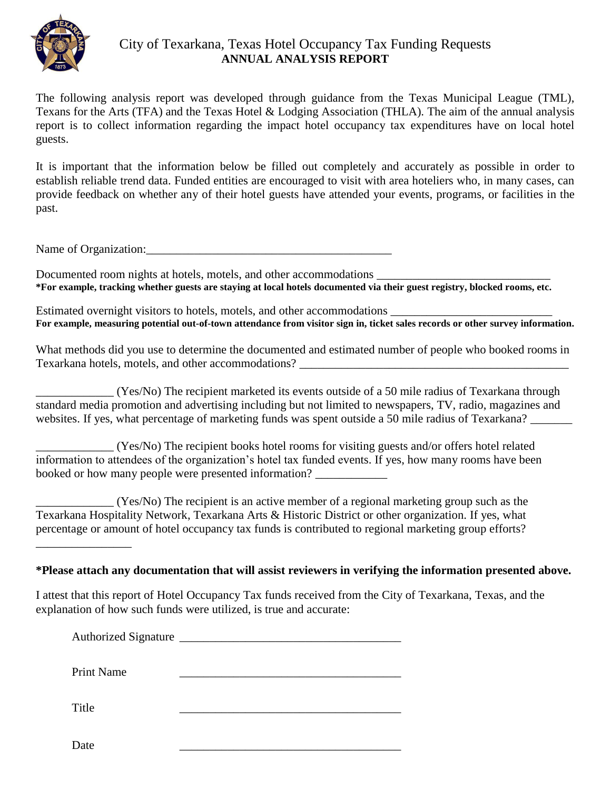

## City of Texarkana, Texas Hotel Occupancy Tax Funding Requests **ANNUAL ANALYSIS REPORT**

The following analysis report was developed through guidance from the Texas Municipal League (TML), Texans for the Arts (TFA) and the Texas Hotel & Lodging Association (THLA). The aim of the annual analysis report is to collect information regarding the impact hotel occupancy tax expenditures have on local hotel guests.

It is important that the information below be filled out completely and accurately as possible in order to establish reliable trend data. Funded entities are encouraged to visit with area hoteliers who, in many cases, can provide feedback on whether any of their hotel guests have attended your events, programs, or facilities in the past.

Name of Organization:

Documented room nights at hotels, motels, and other accommodations **\*For example, tracking whether guests are staying at local hotels documented via their guest registry, blocked rooms, etc.**

Estimated overnight visitors to hotels, motels, and other accommodations  $\_\_$ **For example, measuring potential out-of-town attendance from visitor sign in, ticket sales records or other survey information.**

What methods did you use to determine the documented and estimated number of people who booked rooms in Texarkana hotels, motels, and other accommodations?

\_\_\_\_\_\_\_\_\_\_\_\_\_ (Yes/No) The recipient marketed its events outside of a 50 mile radius of Texarkana through standard media promotion and advertising including but not limited to newspapers, TV, radio, magazines and websites. If yes, what percentage of marketing funds was spent outside a 50 mile radius of Texarkana?

\_\_\_\_\_\_\_\_\_\_\_\_\_ (Yes/No) The recipient books hotel rooms for visiting guests and/or offers hotel related information to attendees of the organization's hotel tax funded events. If yes, how many rooms have been booked or how many people were presented information? \_\_\_\_\_\_\_\_\_\_\_\_

\_\_\_\_\_\_\_\_\_\_\_\_\_ (Yes/No) The recipient is an active member of a regional marketing group such as the Texarkana Hospitality Network, Texarkana Arts & Historic District or other organization. If yes, what percentage or amount of hotel occupancy tax funds is contributed to regional marketing group efforts?

**\*Please attach any documentation that will assist reviewers in verifying the information presented above.** 

I attest that this report of Hotel Occupancy Tax funds received from the City of Texarkana, Texas, and the explanation of how such funds were utilized, is true and accurate:

Authorized Signature \_\_\_\_\_\_\_\_\_\_\_\_\_\_\_\_\_\_\_\_\_\_\_\_\_\_\_\_\_\_\_\_\_\_\_\_\_

Print Name

Title \_\_\_\_\_\_\_\_\_\_\_\_\_\_\_\_\_\_\_\_\_\_\_\_\_\_\_\_\_\_\_\_\_\_\_\_\_

\_\_\_\_\_\_\_\_\_\_\_\_\_\_\_\_

Date  $\qquad \qquad \qquad$